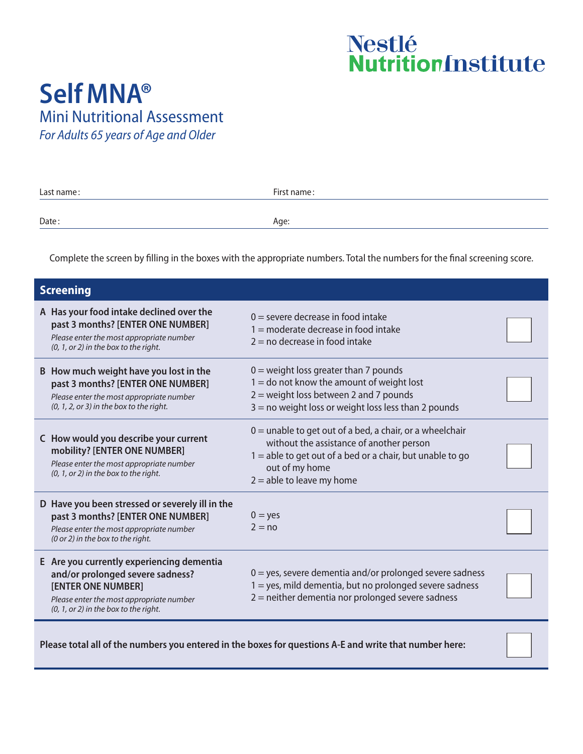## Nestlé<br>Nutrition<br>Institute

## **Self MNA®** Mini Nutritional Assessment

*For Adults 65 years of Age and Older*

| Last name: | First name: |  |  |
|------------|-------------|--|--|
|            |             |  |  |
| Date:      | Age:        |  |  |

Complete the screen by filling in the boxes with the appropriate numbers. Total the numbers for the final screening score.

| <b>Screening</b>                                                                                                                                                                           |                                                                                                                                                                                                                        |  |  |  |  |  |
|--------------------------------------------------------------------------------------------------------------------------------------------------------------------------------------------|------------------------------------------------------------------------------------------------------------------------------------------------------------------------------------------------------------------------|--|--|--|--|--|
| A Has your food intake declined over the<br>past 3 months? [ENTER ONE NUMBER]<br>Please enter the most appropriate number<br>$(0, 1,$ or 2) in the box to the right.                       | $0 =$ severe decrease in food intake<br>$1 =$ moderate decrease in food intake<br>$2 =$ no decrease in food intake                                                                                                     |  |  |  |  |  |
| B How much weight have you lost in the<br>past 3 months? [ENTER ONE NUMBER]<br>Please enter the most appropriate number<br>$(0, 1, 2, or 3)$ in the box to the right.                      | $0 =$ weight loss greater than 7 pounds<br>$1 =$ do not know the amount of weight lost<br>$2$ = weight loss between 2 and 7 pounds<br>$3 =$ no weight loss or weight loss less than 2 pounds                           |  |  |  |  |  |
| C How would you describe your current<br>mobility? [ENTER ONE NUMBER]<br>Please enter the most appropriate number<br>$(0, 1,$ or 2) in the box to the right.                               | $0 =$ unable to get out of a bed, a chair, or a wheelchair<br>without the assistance of another person<br>$1 =$ able to get out of a bed or a chair, but unable to go<br>out of my home<br>$2 =$ able to leave my home |  |  |  |  |  |
| D Have you been stressed or severely ill in the<br>past 3 months? [ENTER ONE NUMBER]<br>Please enter the most appropriate number<br>(0 or 2) in the box to the right.                      | $0 = yes$<br>$2 = no$                                                                                                                                                                                                  |  |  |  |  |  |
| E Are you currently experiencing dementia<br>and/or prolonged severe sadness?<br>[ENTER ONE NUMBER]<br>Please enter the most appropriate number<br>$(0, 1,$ or 2) in the box to the right. | $0 = yes$ , severe dementia and/or prolonged severe sadness<br>$1 = yes$ , mild dementia, but no prolonged severe sadness<br>$2$ = neither dementia nor prolonged severe sadness                                       |  |  |  |  |  |

Please total all of the numbers you entered in the boxes for questions A-E and write that number here: